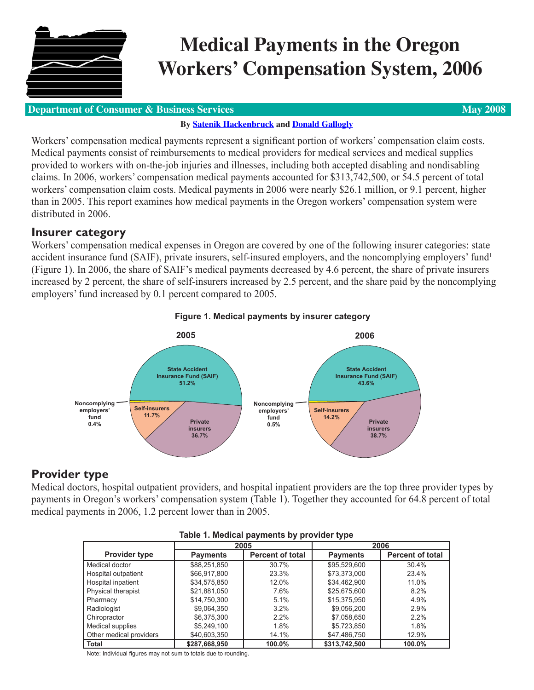

# **Medical Payments in the Oregon Workers' Compensation System, 2006**

## **Department of Consumer & Business Services <b>May 2008 May 2008**

## **By [Satenik Hackenbruck](mailto:DCBS.Research@state.or.us) and [Donald Gallogly](mailto:DCBS.Research@state.or.us)**

Workers' compensation medical payments represent a significant portion of workers' compensation claim costs. Medical payments consist of reimbursements to medical providers for medical services and medical supplies provided to workers with on-the-job injuries and illnesses, including both accepted disabling and nondisabling claims. In 2006, workers' compensation medical payments accounted for \$313,742,500, or 54.5 percent of total workers' compensation claim costs. Medical payments in 2006 were nearly \$26.1 million, or 9.1 percent, higher than in 2005. This report examines how medical payments in the Oregon workers' compensation system were distributed in 2006.

## **Insurer category**

Workers' compensation medical expenses in Oregon are covered by one of the following insurer categories: state accident insurance fund (SAIF), private insurers, self-insured employers, and the noncomplying employers' fund<sup>1</sup> (Figure 1). In 2006, the share of SAIF's medical payments decreased by 4.6 percent, the share of private insurers increased by 2 percent, the share of self-insurers increased by 2.5 percent, and the share paid by the noncomplying employers' fund increased by 0.1 percent compared to 2005.



## **Figure 1. Medical payments by insurer category**

## **Provider type**

Medical doctors, hospital outpatient providers, and hospital inpatient providers are the top three provider types by payments in Oregon's workers' compensation system (Table 1). Together they accounted for 64.8 percent of total medical payments in 2006, 1.2 percent lower than in 2005.

| . .<br>. .              |                 |                         |                 |                         |  |  |  |
|-------------------------|-----------------|-------------------------|-----------------|-------------------------|--|--|--|
|                         | 2005            |                         |                 | 2006                    |  |  |  |
| <b>Provider type</b>    | <b>Payments</b> | <b>Percent of total</b> | <b>Payments</b> | <b>Percent of total</b> |  |  |  |
| Medical doctor          | \$88,251,850    | 30.7%                   | \$95,529,600    | 30.4%                   |  |  |  |
| Hospital outpatient     | \$66,917,800    | 23.3%                   | \$73,373,000    | 23.4%                   |  |  |  |
| Hospital inpatient      | \$34,575,850    | 12.0%                   | \$34,462,900    | 11.0%                   |  |  |  |
| Physical therapist      | \$21,881,050    | 7.6%                    | \$25,675,600    | 8.2%                    |  |  |  |
| Pharmacy                | \$14,750,300    | 5.1%                    | \$15,375,950    | 4.9%                    |  |  |  |
| Radiologist             | \$9,064,350     | 3.2%                    | \$9,056,200     | 2.9%                    |  |  |  |
| Chiropractor            | \$6,375,300     | $2.2\%$                 | \$7,058,650     | $2.2\%$                 |  |  |  |
| Medical supplies        | \$5,249,100     | 1.8%                    | \$5,723,850     | 1.8%                    |  |  |  |
| Other medical providers | \$40,603,350    | 14.1%                   | \$47,486,750    | 12.9%                   |  |  |  |
| Total                   | \$287,668,950   | 100.0%                  | \$313,742.500   | 100.0%                  |  |  |  |

#### **Table 1. Medical payments by provider type**

Note: Individual figures may not sum to totals due to rounding.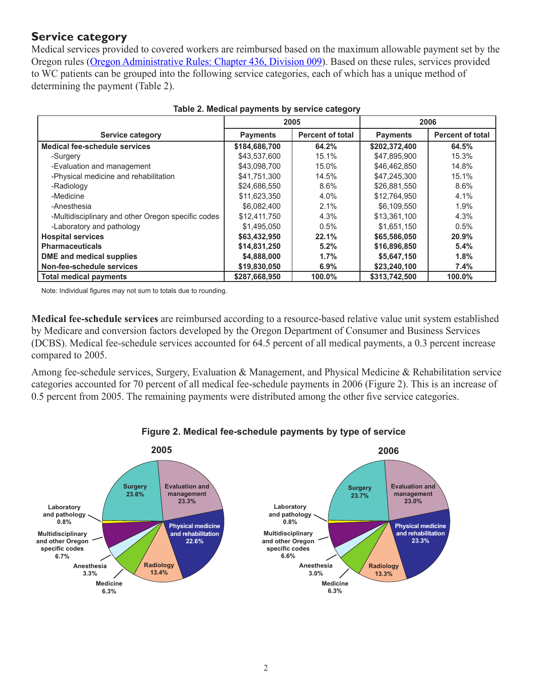## **Service category**

Medical services provided to covered workers are reimbursed based on the maximum allowable payment set by the Oregon rules [\(Oregon Administrative Rules: Chapter 436, Division 009](http://oregonwcd.org/policy/rules/rules.html#permrules)). Based on these rules, services provided to WC patients can be grouped into the following service categories, each of which has a unique method of determining the payment (Table 2).

|                                                    | 2005            |                         | 2006            |                         |
|----------------------------------------------------|-----------------|-------------------------|-----------------|-------------------------|
| <b>Service category</b>                            | <b>Payments</b> | <b>Percent of total</b> | <b>Payments</b> | <b>Percent of total</b> |
| Medical fee-schedule services                      | \$184,686,700   | 64.2%                   | \$202,372,400   | 64.5%                   |
| -Surgery                                           | \$43.537.600    | 15.1%                   | \$47.895.900    | 15.3%                   |
| -Evaluation and management                         | \$43,098,700    | 15.0%                   | \$46,462,850    | 14.8%                   |
| -Physical medicine and rehabilitation              | \$41,751,300    | 14.5%                   | \$47,245,300    | 15.1%                   |
| -Radiology                                         | \$24,686,550    | 8.6%                    | \$26,881,550    | 8.6%                    |
| -Medicine                                          | \$11,623,350    | 4.0%                    | \$12,764,950    | 4.1%                    |
| -Anesthesia                                        | \$6,082,400     | 2.1%                    | \$6,109,550     | 1.9%                    |
| -Multidisciplinary and other Oregon specific codes | \$12,411,750    | 4.3%                    | \$13,361,100    | 4.3%                    |
| -Laboratory and pathology                          | \$1.495.050     | 0.5%                    | \$1,651,150     | 0.5%                    |
| <b>Hospital services</b>                           | \$63,432,950    | 22.1%                   | \$65,586,050    | 20.9%                   |
| <b>Pharmaceuticals</b>                             | \$14,831,250    | 5.2%                    | \$16,896,850    | 5.4%                    |
| DME and medical supplies                           | \$4,888,000     | 1.7%                    | \$5,647,150     | 1.8%                    |
| Non-fee-schedule services                          | \$19,830,050    | 6.9%                    | \$23,240,100    | 7.4%                    |
| <b>Total medical payments</b>                      | \$287,668,950   | 100.0%                  | \$313,742,500   | 100.0%                  |

| Table 2. Medical payments by service category |  |  |  |
|-----------------------------------------------|--|--|--|
|-----------------------------------------------|--|--|--|

Note: Individual figures may not sum to totals due to rounding.

**Medical fee-schedule services** are reimbursed according to a resource-based relative value unit system established by Medicare and conversion factors developed by the Oregon Department of Consumer and Business Services (DCBS). Medical fee-schedule services accounted for 64.5 percent of all medical payments, a 0.3 percent increase compared to 2005.

Among fee-schedule services, Surgery, Evaluation & Management, and Physical Medicine & Rehabilitation service categories accounted for 70 percent of all medical fee-schedule payments in 2006 (Figure 2). This is an increase of 0.5 percent from 2005. The remaining payments were distributed among the other five service categories.



#### **Figure 2. Medical fee-schedule payments by type of service**